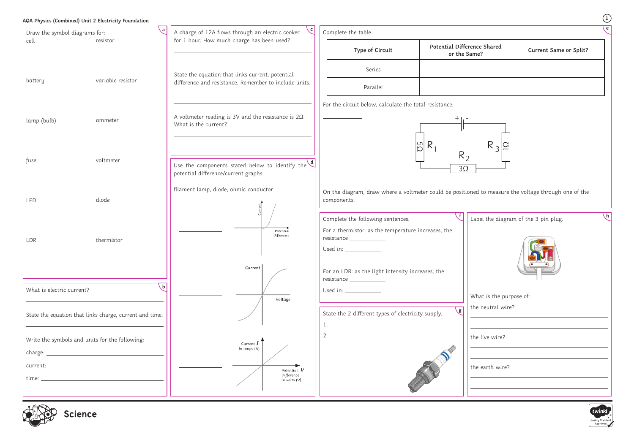## **AQA Physics (Combined) Unit 2 Electricity Foundation**





|                                                      |                                               | $\mathbf 1$ |  |  |
|------------------------------------------------------|-----------------------------------------------|-------------|--|--|
|                                                      |                                               | e           |  |  |
| ence Shared<br>ame?                                  | <b>Current Same or Split?</b>                 |             |  |  |
|                                                      |                                               |             |  |  |
|                                                      |                                               |             |  |  |
|                                                      |                                               |             |  |  |
| $R_3$                                                |                                               |             |  |  |
|                                                      |                                               |             |  |  |
|                                                      | ned to measure the voltage through one of the |             |  |  |
| $\mathsf{h}$<br>Label the diagram of the 3 pin plug. |                                               |             |  |  |
|                                                      |                                               |             |  |  |
| What is the purpose of:                              |                                               |             |  |  |
| the neutral wire?                                    |                                               |             |  |  |
| the live wire?                                       |                                               |             |  |  |
| the earth wire?                                      |                                               |             |  |  |
|                                                      |                                               |             |  |  |
|                                                      |                                               |             |  |  |

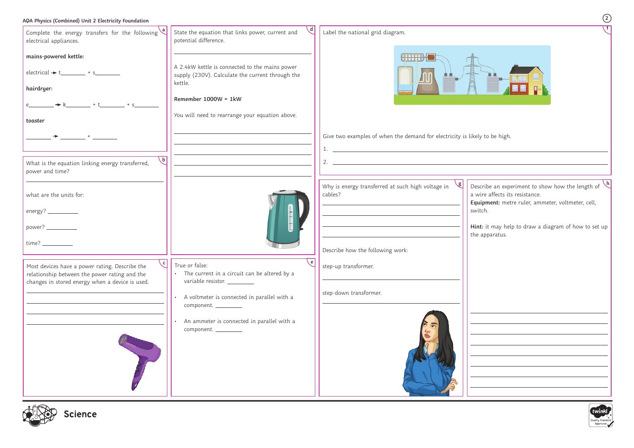## **AQA Physics (Combined) Unit 2 Electricity Foundation**

| Complete the energy transfers for the following $\left\lfloor \frac{a}{b} \right\rfloor$<br>electrical appliances. | State the equation that links power, current and<br>potential difference.                          | Label the national grid diagram.                                           |                                                              |
|--------------------------------------------------------------------------------------------------------------------|----------------------------------------------------------------------------------------------------|----------------------------------------------------------------------------|--------------------------------------------------------------|
| mains-powered kettle:                                                                                              |                                                                                                    | HHILL                                                                      |                                                              |
| $electrical \rightarrow t$ + s                                                                                     | A 2.4kW kettle is connected to the mains power<br>supply (230V). Calculate the current through the |                                                                            |                                                              |
| hairdryer:                                                                                                         | kettle.                                                                                            |                                                                            |                                                              |
|                                                                                                                    | Remember $1000W = 1kW$                                                                             |                                                                            |                                                              |
| toaster                                                                                                            | You will need to rearrange your equation above.                                                    |                                                                            |                                                              |
| $+$ $-$                                                                                                            |                                                                                                    | Give two examples of when the demand for electricity is likely to be high. |                                                              |
|                                                                                                                    |                                                                                                    | <u> 1989 - Johann Stoff, amerikansk politiker (d. 1989)</u>                |                                                              |
| $\mathsf{b}$<br>What is the equation linking energy transferred,<br>power and time?                                |                                                                                                    | 2.                                                                         |                                                              |
|                                                                                                                    |                                                                                                    | Why is energy transferred at such high voltage in                          | Describe an experiment to show how the length of $\vee$      |
| what are the units for:                                                                                            |                                                                                                    | cables?                                                                    | a wire affects its resistance.                               |
| energy? _____________                                                                                              |                                                                                                    |                                                                            | Equipment: metre ruler, ammeter, voltmeter, cell,<br>switch. |
| power? _____________                                                                                               |                                                                                                    |                                                                            | Hint: it may help to draw a diagram of how to set up         |
|                                                                                                                    |                                                                                                    |                                                                            | the apparatus.                                               |
|                                                                                                                    |                                                                                                    | Describe how the following work:                                           |                                                              |
| $\overline{C}$<br>Most devices have a power rating. Describe the                                                   | True or false:<br>The current in a circuit can be altered by a                                     | step-up transformer.                                                       |                                                              |
| relationship between the power rating and the<br>changes in stored energy when a device is used.                   | variable resistor. __________                                                                      |                                                                            |                                                              |
|                                                                                                                    | A voltmeter is connected in parallel with a                                                        | step-down transformer.                                                     |                                                              |
|                                                                                                                    | component. _________                                                                               |                                                                            |                                                              |
|                                                                                                                    | An ammeter is connected in parallel with a<br>component.                                           |                                                                            |                                                              |
|                                                                                                                    |                                                                                                    |                                                                            |                                                              |
|                                                                                                                    |                                                                                                    |                                                                            |                                                              |
|                                                                                                                    |                                                                                                    |                                                                            |                                                              |
|                                                                                                                    |                                                                                                    |                                                                            |                                                              |
|                                                                                                                    |                                                                                                    |                                                                            |                                                              |







**2**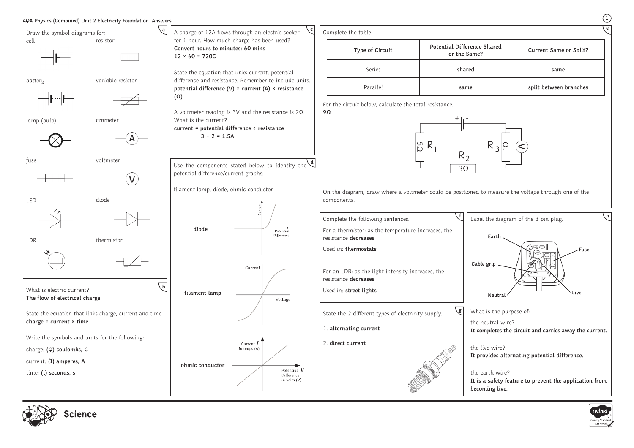